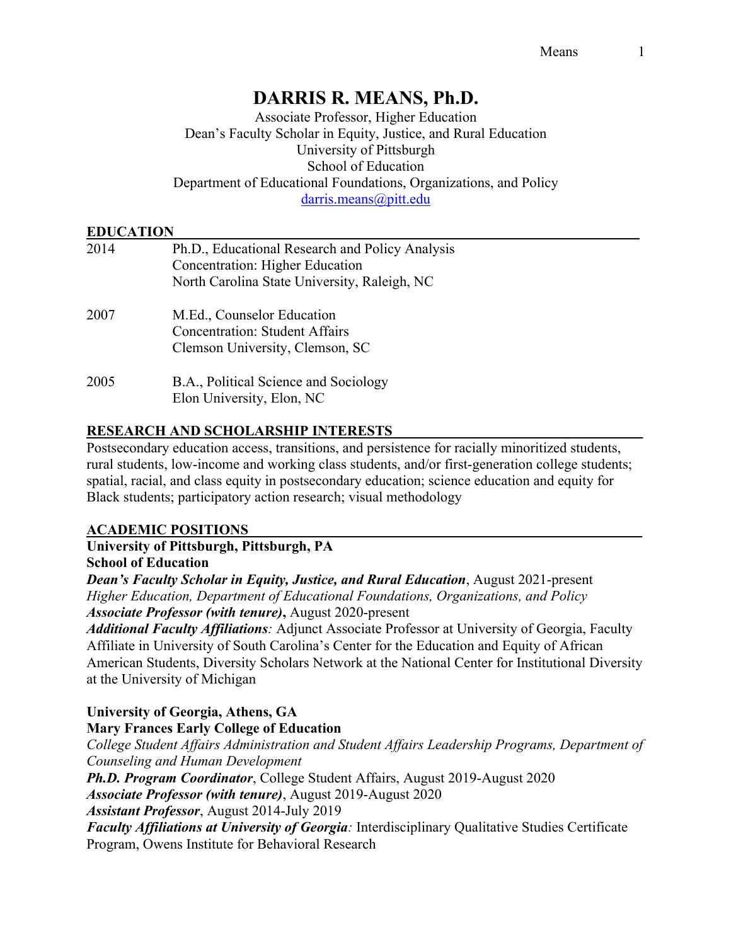# **DARRIS R. MEANS, Ph.D.**

Associate Professor, Higher Education Dean's Faculty Scholar in Equity, Justice, and Rural Education University of Pittsburgh School of Education Department of Educational Foundations, Organizations, and Policy darris.means@pitt.edu

### **EDUCATION\_\_\_\_\_\_\_\_\_\_\_\_\_\_\_\_\_\_\_\_\_\_\_\_\_\_\_\_\_\_\_\_\_\_\_\_\_\_\_\_\_\_\_\_\_\_\_\_\_\_\_\_\_\_\_\_\_\_\_\_\_\_\_\_\_**

| 2014 | Ph.D., Educational Research and Policy Analysis<br><b>Concentration: Higher Education</b><br>North Carolina State University, Raleigh, NC |
|------|-------------------------------------------------------------------------------------------------------------------------------------------|
| 2007 | M.Ed., Counselor Education<br><b>Concentration: Student Affairs</b><br>Clemson University, Clemson, SC                                    |
| 2005 | B.A., Political Science and Sociology<br>Elon University, Elon, NC                                                                        |

### **RESEARCH AND SCHOLARSHIP INTERESTS\_\_\_\_\_\_\_\_\_\_\_\_\_\_\_\_\_\_\_\_\_\_\_\_\_\_\_\_\_\_\_\_\_\_\_**

Postsecondary education access, transitions, and persistence for racially minoritized students, rural students, low-income and working class students, and/or first-generation college students; spatial, racial, and class equity in postsecondary education; science education and equity for Black students; participatory action research; visual methodology

### **ACADEMIC POSITIONS\_\_\_\_\_\_\_\_\_\_\_\_\_\_\_\_\_\_\_\_\_\_\_\_\_\_\_\_\_\_\_\_\_\_\_\_\_\_\_\_\_\_\_\_\_\_\_\_\_\_\_\_\_\_\_**

### **University of Pittsburgh, Pittsburgh, PA School of Education**

*Dean's Faculty Scholar in Equity, Justice, and Rural Education*, August 2021-present *Higher Education, Department of Educational Foundations, Organizations, and Policy Associate Professor (with tenure)***,** August 2020-present

*Additional Faculty Affiliations:* Adjunct Associate Professor at University of Georgia, Faculty Affiliate in University of South Carolina's Center for the Education and Equity of African American Students, Diversity Scholars Network at the National Center for Institutional Diversity at the University of Michigan

## **University of Georgia, Athens, GA**

### **Mary Frances Early College of Education**

*College Student Affairs Administration and Student Affairs Leadership Programs, Department of Counseling and Human Development*

*Ph.D. Program Coordinator*, College Student Affairs, August 2019-August 2020 *Associate Professor (with tenure)*, August 2019-August 2020

*Assistant Professor*, August 2014-July 2019

*Faculty Affiliations at University of Georgia:* Interdisciplinary Qualitative Studies Certificate Program, Owens Institute for Behavioral Research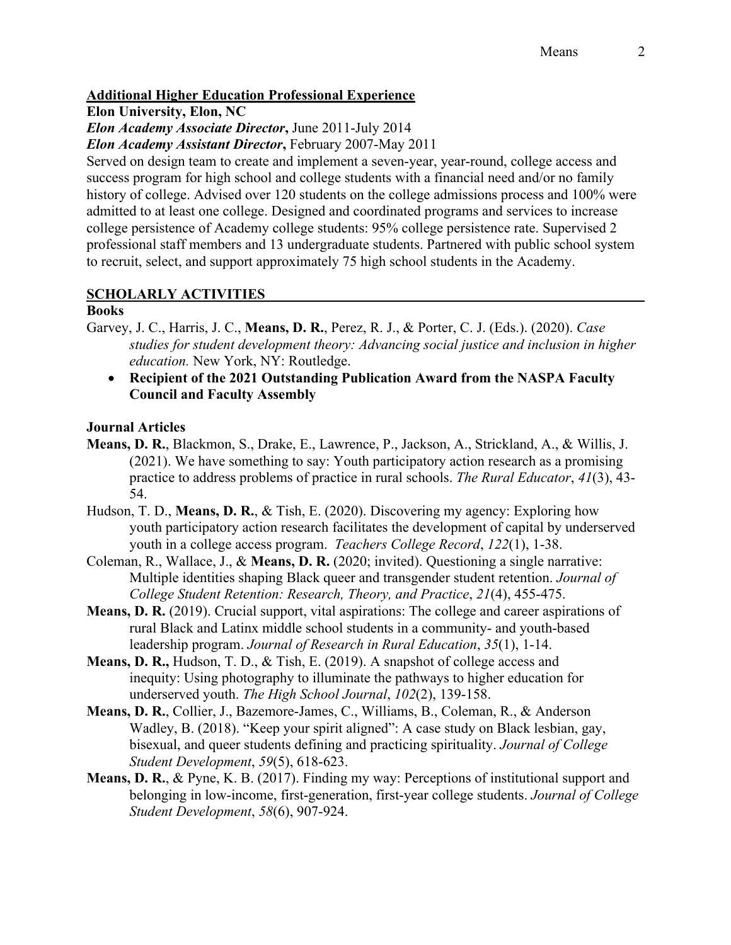### **Additional Higher Education Professional Experience**

**Elon University, Elon, NC**

*Elon Academy Associate Director***,** June 2011-July 2014

*Elon Academy Assistant Director***,** February 2007-May 2011

Served on design team to create and implement a seven-year, year-round, college access and success program for high school and college students with a financial need and/or no family history of college. Advised over 120 students on the college admissions process and 100% were admitted to at least one college. Designed and coordinated programs and services to increase college persistence of Academy college students: 95% college persistence rate. Supervised 2 professional staff members and 13 undergraduate students. Partnered with public school system to recruit, select, and support approximately 75 high school students in the Academy.

# **SCHOLARLY ACTIVITIES**

### **Books**

- Garvey, J. C., Harris, J. C., **Means, D. R.**, Perez, R. J., & Porter, C. J. (Eds.). (2020). *Case studies for student development theory: Advancing social justice and inclusion in higher education.* New York, NY: Routledge.
	- **Recipient of the 2021 Outstanding Publication Award from the NASPA Faculty Council and Faculty Assembly**

### **Journal Articles**

- **Means, D. R.**, Blackmon, S., Drake, E., Lawrence, P., Jackson, A., Strickland, A., & Willis, J. (2021). We have something to say: Youth participatory action research as a promising practice to address problems of practice in rural schools. *The Rural Educator*, *41*(3), 43- 54.
- Hudson, T. D., **Means, D. R.**, & Tish, E. (2020). Discovering my agency: Exploring how youth participatory action research facilitates the development of capital by underserved youth in a college access program. *Teachers College Record*, *122*(1), 1-38.
- Coleman, R., Wallace, J., & **Means, D. R.** (2020; invited). Questioning a single narrative: Multiple identities shaping Black queer and transgender student retention. *Journal of College Student Retention: Research, Theory, and Practice*, *21*(4), 455-475.
- **Means, D. R.** (2019). Crucial support, vital aspirations: The college and career aspirations of rural Black and Latinx middle school students in a community- and youth-based leadership program. *Journal of Research in Rural Education*, *35*(1), 1-14.
- **Means, D. R.,** Hudson, T. D., & Tish, E. (2019). A snapshot of college access and inequity: Using photography to illuminate the pathways to higher education for underserved youth. *The High School Journal*, *102*(2), 139-158.
- **Means, D. R.**, Collier, J., Bazemore-James, C., Williams, B., Coleman, R., & Anderson Wadley, B. (2018). "Keep your spirit aligned": A case study on Black lesbian, gay, bisexual, and queer students defining and practicing spirituality. *Journal of College Student Development*, *59*(5), 618-623.
- **Means, D. R.**, & Pyne, K. B. (2017). Finding my way: Perceptions of institutional support and belonging in low-income, first-generation, first-year college students. *Journal of College Student Development*, *58*(6), 907-924.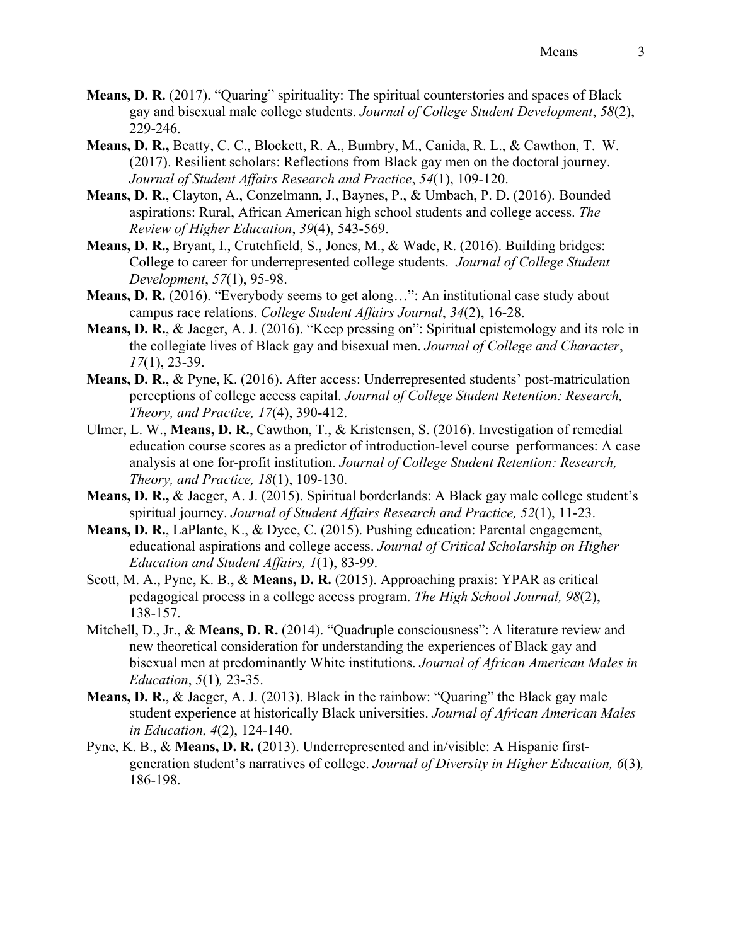- **Means, D. R.** (2017). "Quaring" spirituality: The spiritual counterstories and spaces of Black gay and bisexual male college students. *Journal of College Student Development*, *58*(2), 229-246.
- **Means, D. R.,** Beatty, C. C., Blockett, R. A., Bumbry, M., Canida, R. L., & Cawthon, T. W. (2017). Resilient scholars: Reflections from Black gay men on the doctoral journey. *Journal of Student Affairs Research and Practice*, *54*(1), 109-120.
- **Means, D. R.**, Clayton, A., Conzelmann, J., Baynes, P., & Umbach, P. D. (2016). Bounded aspirations: Rural, African American high school students and college access. *The Review of Higher Education*, *39*(4), 543-569.
- **Means, D. R.,** Bryant, I., Crutchfield, S., Jones, M., & Wade, R. (2016). Building bridges: College to career for underrepresented college students. *Journal of College Student Development*, *57*(1), 95-98.
- **Means, D. R.** (2016). "Everybody seems to get along…": An institutional case study about campus race relations. *College Student Affairs Journal*, *34*(2), 16-28.
- **Means, D. R.**, & Jaeger, A. J. (2016). "Keep pressing on": Spiritual epistemology and its role in the collegiate lives of Black gay and bisexual men. *Journal of College and Character*, *17*(1), 23-39.
- **Means, D. R.**, & Pyne, K. (2016). After access: Underrepresented students' post-matriculation perceptions of college access capital. *Journal of College Student Retention: Research, Theory, and Practice, 17*(4), 390-412.
- Ulmer, L. W., **Means, D. R.**, Cawthon, T., & Kristensen, S. (2016). Investigation of remedial education course scores as a predictor of introduction-level course performances: A case analysis at one for-profit institution. *Journal of College Student Retention: Research, Theory, and Practice, 18*(1), 109-130.
- **Means, D. R.,** & Jaeger, A. J. (2015). Spiritual borderlands: A Black gay male college student's spiritual journey. *Journal of Student Affairs Research and Practice, 52*(1), 11-23.
- **Means, D. R.**, LaPlante, K., & Dyce, C. (2015). Pushing education: Parental engagement, educational aspirations and college access. *Journal of Critical Scholarship on Higher Education and Student Affairs, 1*(1), 83-99.
- Scott, M. A., Pyne, K. B., & **Means, D. R.** (2015). Approaching praxis: YPAR as critical pedagogical process in a college access program. *The High School Journal, 98*(2), 138-157.
- Mitchell, D., Jr., & **Means, D. R.** (2014). "Quadruple consciousness": A literature review and new theoretical consideration for understanding the experiences of Black gay and bisexual men at predominantly White institutions. *Journal of African American Males in Education*, *5*(1)*,* 23-35.
- **Means, D. R.**, & Jaeger, A. J. (2013). Black in the rainbow: "Quaring" the Black gay male student experience at historically Black universities. *Journal of African American Males in Education, 4*(2), 124-140.
- Pyne, K. B., & **Means, D. R.** (2013). Underrepresented and in/visible: A Hispanic firstgeneration student's narratives of college. *Journal of Diversity in Higher Education, 6*(3)*,*  186-198.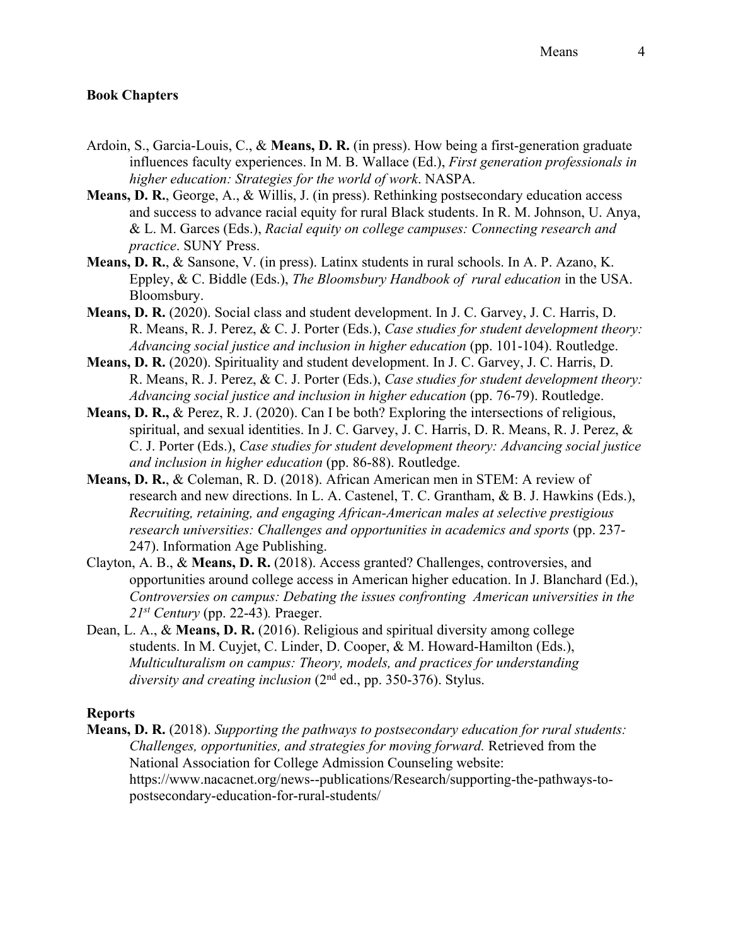### **Book Chapters**

- Ardoin, S., Garcia-Louis, C., & **Means, D. R.** (in press). How being a first-generation graduate influences faculty experiences. In M. B. Wallace (Ed.), *First generation professionals in higher education: Strategies for the world of work*. NASPA.
- **Means, D. R.**, George, A., & Willis, J. (in press). Rethinking postsecondary education access and success to advance racial equity for rural Black students. In R. M. Johnson, U. Anya, & L. M. Garces (Eds.), *Racial equity on college campuses: Connecting research and practice*. SUNY Press.
- **Means, D. R.**, & Sansone, V. (in press). Latinx students in rural schools. In A. P. Azano, K. Eppley, & C. Biddle (Eds.), *The Bloomsbury Handbook of rural education* in the USA. Bloomsbury.
- **Means, D. R.** (2020). Social class and student development. In J. C. Garvey, J. C. Harris, D. R. Means, R. J. Perez, & C. J. Porter (Eds.), *Case studies for student development theory: Advancing social justice and inclusion in higher education* (pp. 101-104). Routledge.
- **Means, D. R.** (2020). Spirituality and student development. In J. C. Garvey, J. C. Harris, D. R. Means, R. J. Perez, & C. J. Porter (Eds.), *Case studies for student development theory: Advancing social justice and inclusion in higher education* (pp. 76-79). Routledge.
- **Means, D. R.,** & Perez, R. J. (2020). Can I be both? Exploring the intersections of religious, spiritual, and sexual identities. In J. C. Garvey, J. C. Harris, D. R. Means, R. J. Perez, & C. J. Porter (Eds.), *Case studies for student development theory: Advancing social justice and inclusion in higher education* (pp. 86-88). Routledge.
- **Means, D. R.**, & Coleman, R. D. (2018). African American men in STEM: A review of research and new directions. In L. A. Castenel, T. C. Grantham, & B. J. Hawkins (Eds.), *Recruiting, retaining, and engaging African-American males at selective prestigious research universities: Challenges and opportunities in academics and sports* (pp. 237- 247). Information Age Publishing.
- Clayton, A. B., & **Means, D. R.** (2018). Access granted? Challenges, controversies, and opportunities around college access in American higher education. In J. Blanchard (Ed.), *Controversies on campus: Debating the issues confronting American universities in the 21st Century* (pp. 22-43)*.* Praeger.
- Dean, L. A., & **Means, D. R.** (2016). Religious and spiritual diversity among college students. In M. Cuyjet, C. Linder, D. Cooper, & M. Howard-Hamilton (Eds.), *Multiculturalism on campus: Theory, models, and practices for understanding*  diversity and creating inclusion (2<sup>nd</sup> ed., pp. 350-376). Stylus.

#### **Reports**

**Means, D. R.** (2018). *Supporting the pathways to postsecondary education for rural students: Challenges, opportunities, and strategies for moving forward.* Retrieved from the National Association for College Admission Counseling website: https://www.nacacnet.org/news--publications/Research/supporting-the-pathways-topostsecondary-education-for-rural-students/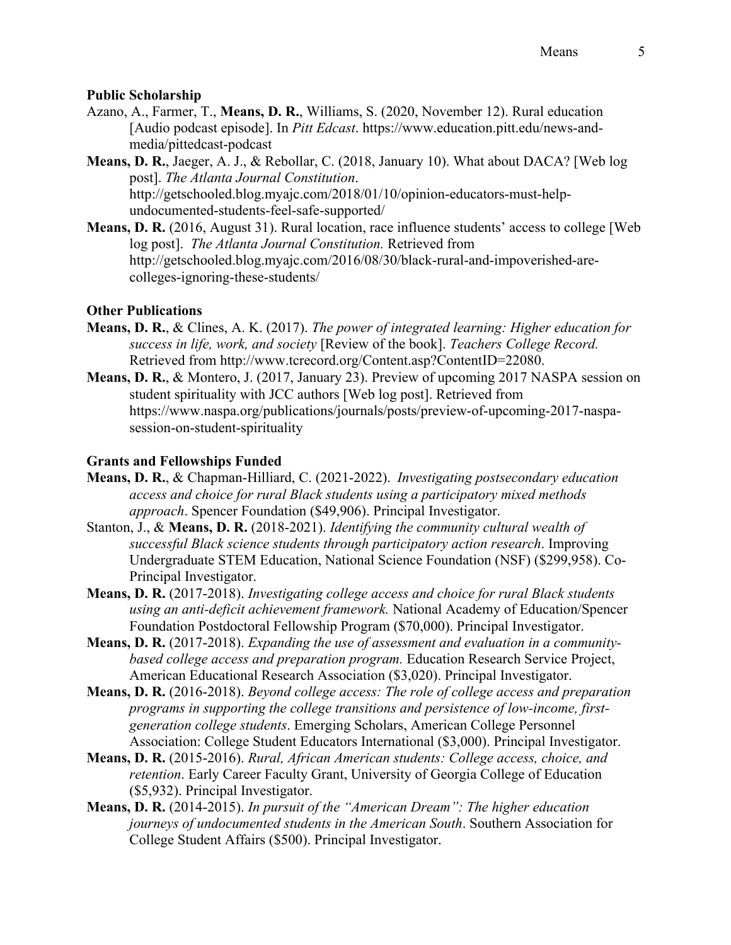### **Public Scholarship**

- Azano, A., Farmer, T., **Means, D. R.**, Williams, S. (2020, November 12). Rural education [Audio podcast episode]. In *Pitt Edcast*. https://www.education.pitt.edu/news-andmedia/pittedcast-podcast
- **Means, D. R.**, Jaeger, A. J., & Rebollar, C. (2018, January 10). What about DACA? [Web log post]. *The Atlanta Journal Constitution*. http://getschooled.blog.myajc.com/2018/01/10/opinion-educators-must-helpundocumented-students-feel-safe-supported/
- **Means, D. R.** (2016, August 31). Rural location, race influence students' access to college [Web log post]. *The Atlanta Journal Constitution.* Retrieved from http://getschooled.blog.myajc.com/2016/08/30/black-rural-and-impoverished-arecolleges-ignoring-these-students/

## **Other Publications**

- **Means, D. R.**, & Clines, A. K. (2017). *The power of integrated learning: Higher education for success in life, work, and society* [Review of the book]. *Teachers College Record.*  Retrieved from http://www.tcrecord.org/Content.asp?ContentID=22080.
- **Means, D. R.**, & Montero, J. (2017, January 23). Preview of upcoming 2017 NASPA session on student spirituality with JCC authors [Web log post]. Retrieved from https://www.naspa.org/publications/journals/posts/preview-of-upcoming-2017-naspasession-on-student-spirituality

# **Grants and Fellowships Funded**

- **Means, D. R.**, & Chapman-Hilliard, C. (2021-2022). *Investigating postsecondary education access and choice for rural Black students using a participatory mixed methods approach*. Spencer Foundation (\$49,906). Principal Investigator.
- Stanton, J., & **Means, D. R.** (2018-2021). *Identifying the community cultural wealth of successful Black science students through participatory action research*. Improving Undergraduate STEM Education, National Science Foundation (NSF) (\$299,958). Co-Principal Investigator.
- **Means, D. R.** (2017-2018). *Investigating college access and choice for rural Black students using an anti-deficit achievement framework.* National Academy of Education/Spencer Foundation Postdoctoral Fellowship Program (\$70,000). Principal Investigator.
- **Means, D. R.** (2017-2018). *Expanding the use of assessment and evaluation in a communitybased college access and preparation program.* Education Research Service Project, American Educational Research Association (\$3,020). Principal Investigator.
- **Means, D. R.** (2016-2018). *Beyond college access: The role of college access and preparation programs in supporting the college transitions and persistence of low-income, firstgeneration college students*. Emerging Scholars, American College Personnel Association: College Student Educators International (\$3,000). Principal Investigator.
- **Means, D. R.** (2015-2016). *Rural, African American students: College access, choice, and retention*. Early Career Faculty Grant, University of Georgia College of Education (\$5,932). Principal Investigator.
- **Means, D. R.** (2014-2015). *In pursuit of the "American Dream": The higher education journeys of undocumented students in the American South*. Southern Association for College Student Affairs (\$500). Principal Investigator.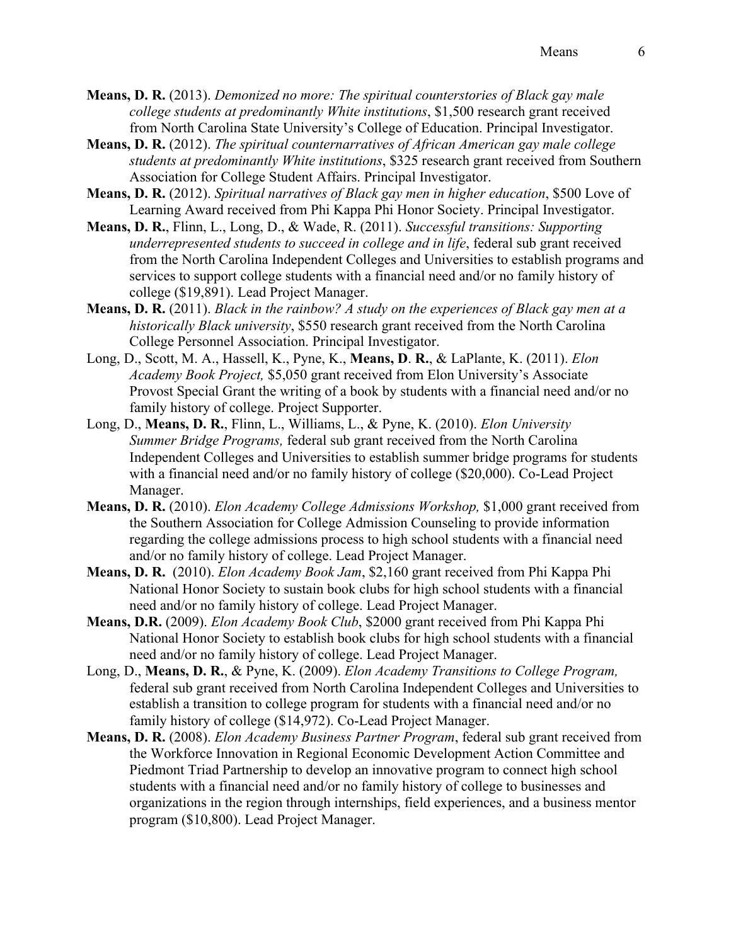**Means, D. R.** (2013). *Demonized no more: The spiritual counterstories of Black gay male college students at predominantly White institutions*, \$1,500 research grant received from North Carolina State University's College of Education. Principal Investigator.

- **Means, D. R.** (2012). *The spiritual counternarratives of African American gay male college students at predominantly White institutions*, \$325 research grant received from Southern Association for College Student Affairs. Principal Investigator.
- **Means, D. R.** (2012). *Spiritual narratives of Black gay men in higher education*, \$500 Love of Learning Award received from Phi Kappa Phi Honor Society. Principal Investigator.
- **Means, D. R.**, Flinn, L., Long, D., & Wade, R. (2011). *Successful transitions: Supporting underrepresented students to succeed in college and in life*, federal sub grant received from the North Carolina Independent Colleges and Universities to establish programs and services to support college students with a financial need and/or no family history of college (\$19,891). Lead Project Manager.
- **Means, D. R.** (2011). *Black in the rainbow? A study on the experiences of Black gay men at a historically Black university*, \$550 research grant received from the North Carolina College Personnel Association. Principal Investigator.
- Long, D., Scott, M. A., Hassell, K., Pyne, K., **Means, D**. **R.**, & LaPlante, K. (2011). *Elon Academy Book Project,* \$5,050 grant received from Elon University's Associate Provost Special Grant the writing of a book by students with a financial need and/or no family history of college. Project Supporter.
- Long, D., **Means, D. R.**, Flinn, L., Williams, L., & Pyne, K. (2010). *Elon University Summer Bridge Programs,* federal sub grant received from the North Carolina Independent Colleges and Universities to establish summer bridge programs for students with a financial need and/or no family history of college (\$20,000). Co-Lead Project Manager.
- **Means, D. R.** (2010). *Elon Academy College Admissions Workshop,* \$1,000 grant received from the Southern Association for College Admission Counseling to provide information regarding the college admissions process to high school students with a financial need and/or no family history of college. Lead Project Manager.
- **Means, D. R.** (2010). *Elon Academy Book Jam*, \$2,160 grant received from Phi Kappa Phi National Honor Society to sustain book clubs for high school students with a financial need and/or no family history of college. Lead Project Manager.
- **Means, D.R.** (2009). *Elon Academy Book Club*, \$2000 grant received from Phi Kappa Phi National Honor Society to establish book clubs for high school students with a financial need and/or no family history of college. Lead Project Manager.
- Long, D., **Means, D. R.**, & Pyne, K. (2009). *Elon Academy Transitions to College Program,*  federal sub grant received from North Carolina Independent Colleges and Universities to establish a transition to college program for students with a financial need and/or no family history of college (\$14,972). Co-Lead Project Manager.
- **Means, D. R.** (2008). *Elon Academy Business Partner Program*, federal sub grant received from the Workforce Innovation in Regional Economic Development Action Committee and Piedmont Triad Partnership to develop an innovative program to connect high school students with a financial need and/or no family history of college to businesses and organizations in the region through internships, field experiences, and a business mentor program (\$10,800). Lead Project Manager.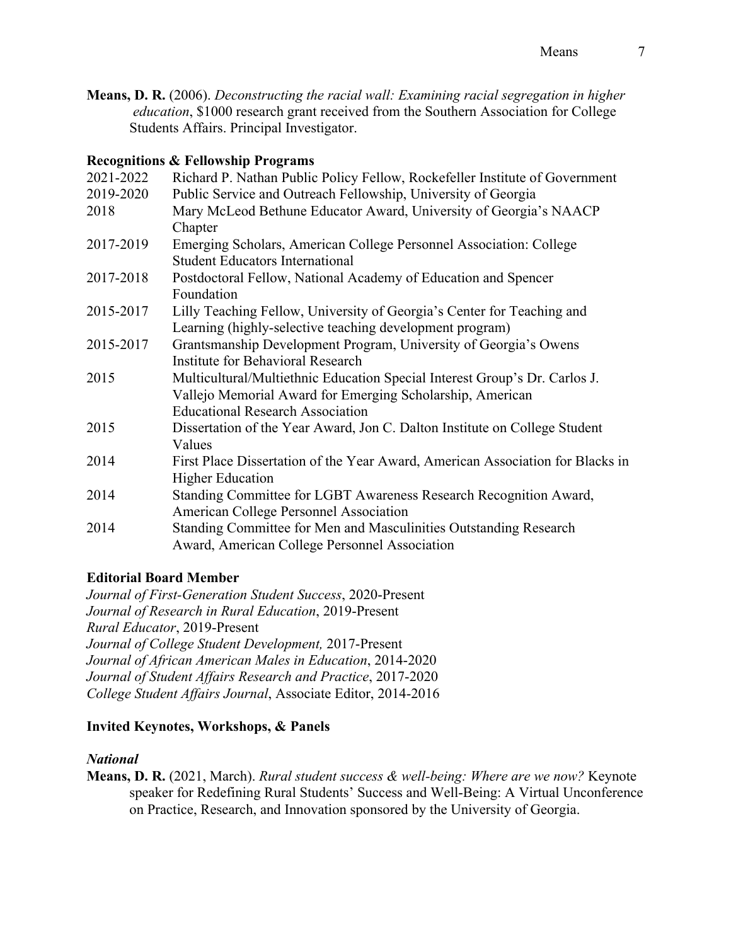**Means, D. R.** (2006). *Deconstructing the racial wall: Examining racial segregation in higher education*, \$1000 research grant received from the Southern Association for College Students Affairs. Principal Investigator.

### **Recognitions & Fellowship Programs**

| 2021-2022 | Richard P. Nathan Public Policy Fellow, Rockefeller Institute of Government    |
|-----------|--------------------------------------------------------------------------------|
| 2019-2020 | Public Service and Outreach Fellowship, University of Georgia                  |
| 2018      | Mary McLeod Bethune Educator Award, University of Georgia's NAACP              |
|           | Chapter                                                                        |
| 2017-2019 | Emerging Scholars, American College Personnel Association: College             |
|           | <b>Student Educators International</b>                                         |
| 2017-2018 | Postdoctoral Fellow, National Academy of Education and Spencer                 |
|           | Foundation                                                                     |
| 2015-2017 | Lilly Teaching Fellow, University of Georgia's Center for Teaching and         |
|           | Learning (highly-selective teaching development program)                       |
| 2015-2017 | Grantsmanship Development Program, University of Georgia's Owens               |
|           | <b>Institute for Behavioral Research</b>                                       |
| 2015      | Multicultural/Multiethnic Education Special Interest Group's Dr. Carlos J.     |
|           | Vallejo Memorial Award for Emerging Scholarship, American                      |
|           | <b>Educational Research Association</b>                                        |
| 2015      | Dissertation of the Year Award, Jon C. Dalton Institute on College Student     |
|           | Values                                                                         |
| 2014      | First Place Dissertation of the Year Award, American Association for Blacks in |
|           | <b>Higher Education</b>                                                        |
| 2014      | Standing Committee for LGBT Awareness Research Recognition Award,              |
|           | American College Personnel Association                                         |
| 2014      | Standing Committee for Men and Masculinities Outstanding Research              |
|           | Award, American College Personnel Association                                  |
|           |                                                                                |

## **Editorial Board Member**

*Journal of First-Generation Student Success*, 2020-Present *Journal of Research in Rural Education*, 2019-Present *Rural Educator*, 2019-Present *Journal of College Student Development,* 2017-Present *Journal of African American Males in Education*, 2014-2020 *Journal of Student Affairs Research and Practice*, 2017-2020 *College Student Affairs Journal*, Associate Editor, 2014-2016

## **Invited Keynotes, Workshops, & Panels**

### *National*

**Means, D. R.** (2021, March). *Rural student success & well-being: Where are we now?* Keynote speaker for Redefining Rural Students' Success and Well-Being: A Virtual Unconference on Practice, Research, and Innovation sponsored by the University of Georgia.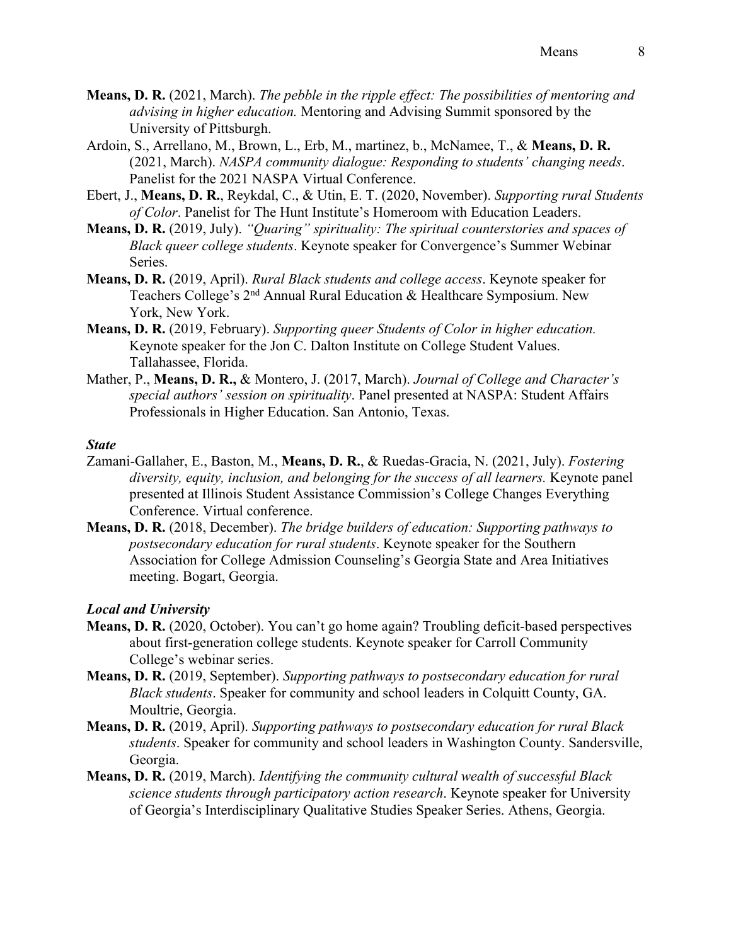- **Means, D. R.** (2021, March). *The pebble in the ripple effect: The possibilities of mentoring and advising in higher education.* Mentoring and Advising Summit sponsored by the University of Pittsburgh.
- Ardoin, S., Arrellano, M., Brown, L., Erb, M., martinez, b., McNamee, T., & **Means, D. R.** (2021, March). *NASPA community dialogue: Responding to students' changing needs*. Panelist for the 2021 NASPA Virtual Conference.
- Ebert, J., **Means, D. R.**, Reykdal, C., & Utin, E. T. (2020, November). *Supporting rural Students of Color*. Panelist for The Hunt Institute's Homeroom with Education Leaders.
- **Means, D. R.** (2019, July). *"Quaring" spirituality: The spiritual counterstories and spaces of Black queer college students*. Keynote speaker for Convergence's Summer Webinar Series.
- **Means, D. R.** (2019, April). *Rural Black students and college access*. Keynote speaker for Teachers College's 2<sup>nd</sup> Annual Rural Education & Healthcare Symposium. New York, New York.
- **Means, D. R.** (2019, February). *Supporting queer Students of Color in higher education.*  Keynote speaker for the Jon C. Dalton Institute on College Student Values. Tallahassee, Florida.
- Mather, P., **Means, D. R.,** & Montero, J. (2017, March). *Journal of College and Character's special authors' session on spirituality*. Panel presented at NASPA: Student Affairs Professionals in Higher Education. San Antonio, Texas.

#### *State*

- Zamani-Gallaher, E., Baston, M., **Means, D. R.**, & Ruedas-Gracia, N. (2021, July). *Fostering*  diversity, equity, inclusion, and belonging for the success of all learners. Keynote panel presented at Illinois Student Assistance Commission's College Changes Everything Conference. Virtual conference.
- **Means, D. R.** (2018, December). *The bridge builders of education: Supporting pathways to postsecondary education for rural students*. Keynote speaker for the Southern Association for College Admission Counseling's Georgia State and Area Initiatives meeting. Bogart, Georgia.

#### *Local and University*

- **Means, D. R.** (2020, October). You can't go home again? Troubling deficit-based perspectives about first-generation college students. Keynote speaker for Carroll Community College's webinar series.
- **Means, D. R.** (2019, September). *Supporting pathways to postsecondary education for rural Black students*. Speaker for community and school leaders in Colquitt County, GA. Moultrie, Georgia.
- **Means, D. R.** (2019, April). *Supporting pathways to postsecondary education for rural Black students*. Speaker for community and school leaders in Washington County. Sandersville, Georgia.
- **Means, D. R.** (2019, March). *Identifying the community cultural wealth of successful Black science students through participatory action research*. Keynote speaker for University of Georgia's Interdisciplinary Qualitative Studies Speaker Series. Athens, Georgia.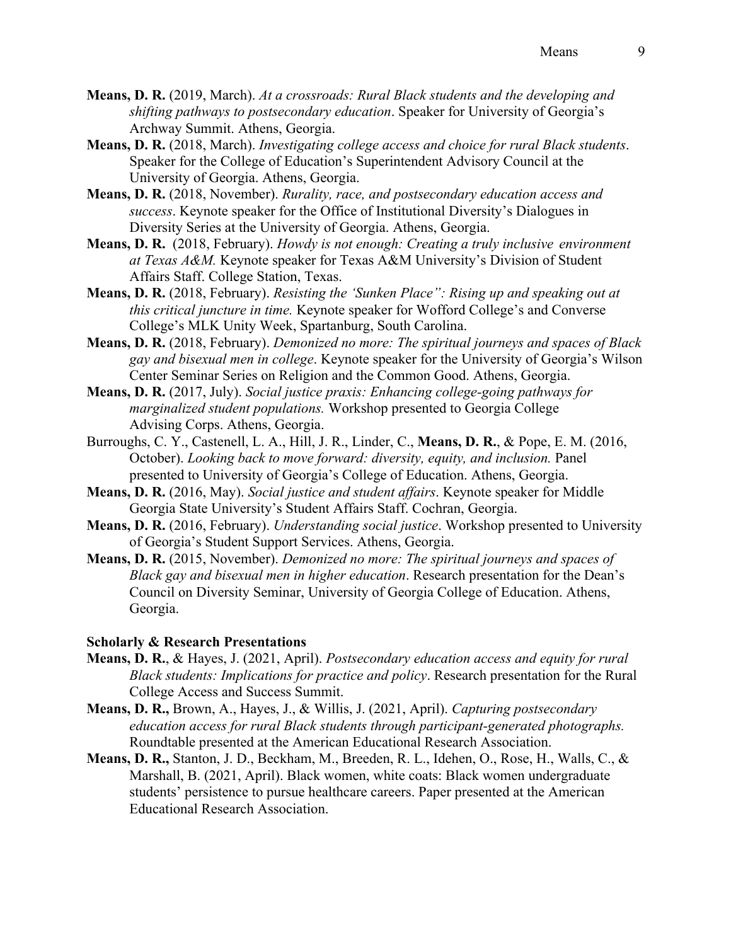- **Means, D. R.** (2019, March). *At a crossroads: Rural Black students and the developing and shifting pathways to postsecondary education*. Speaker for University of Georgia's Archway Summit. Athens, Georgia.
- **Means, D. R.** (2018, March). *Investigating college access and choice for rural Black students*. Speaker for the College of Education's Superintendent Advisory Council at the University of Georgia. Athens, Georgia.
- **Means, D. R.** (2018, November). *Rurality, race, and postsecondary education access and success*. Keynote speaker for the Office of Institutional Diversity's Dialogues in Diversity Series at the University of Georgia. Athens, Georgia.
- **Means, D. R.** (2018, February). *Howdy is not enough: Creating a truly inclusive environment at Texas A&M.* Keynote speaker for Texas A&M University's Division of Student Affairs Staff. College Station, Texas.
- **Means, D. R.** (2018, February). *Resisting the 'Sunken Place": Rising up and speaking out at this critical juncture in time.* Keynote speaker for Wofford College's and Converse College's MLK Unity Week, Spartanburg, South Carolina.
- **Means, D. R.** (2018, February). *Demonized no more: The spiritual journeys and spaces of Black gay and bisexual men in college*. Keynote speaker for the University of Georgia's Wilson Center Seminar Series on Religion and the Common Good. Athens, Georgia.
- **Means, D. R.** (2017, July). *Social justice praxis: Enhancing college-going pathways for marginalized student populations.* Workshop presented to Georgia College Advising Corps. Athens, Georgia.
- Burroughs, C. Y., Castenell, L. A., Hill, J. R., Linder, C., **Means, D. R.**, & Pope, E. M. (2016, October). *Looking back to move forward: diversity, equity, and inclusion.* Panel presented to University of Georgia's College of Education. Athens, Georgia.
- **Means, D. R.** (2016, May). *Social justice and student affairs*. Keynote speaker for Middle Georgia State University's Student Affairs Staff. Cochran, Georgia.
- **Means, D. R.** (2016, February). *Understanding social justice*. Workshop presented to University of Georgia's Student Support Services. Athens, Georgia.
- **Means, D. R.** (2015, November). *Demonized no more: The spiritual journeys and spaces of Black gay and bisexual men in higher education*. Research presentation for the Dean's Council on Diversity Seminar, University of Georgia College of Education. Athens, Georgia.

#### **Scholarly & Research Presentations**

- **Means, D. R.**, & Hayes, J. (2021, April). *Postsecondary education access and equity for rural Black students: Implications for practice and policy*. Research presentation for the Rural College Access and Success Summit.
- **Means, D. R.,** Brown, A., Hayes, J., & Willis, J. (2021, April). *Capturing postsecondary education access for rural Black students through participant-generated photographs.*  Roundtable presented at the American Educational Research Association.
- **Means, D. R.,** Stanton, J. D., Beckham, M., Breeden, R. L., Idehen, O., Rose, H., Walls, C., & Marshall, B. (2021, April). Black women, white coats: Black women undergraduate students' persistence to pursue healthcare careers. Paper presented at the American Educational Research Association.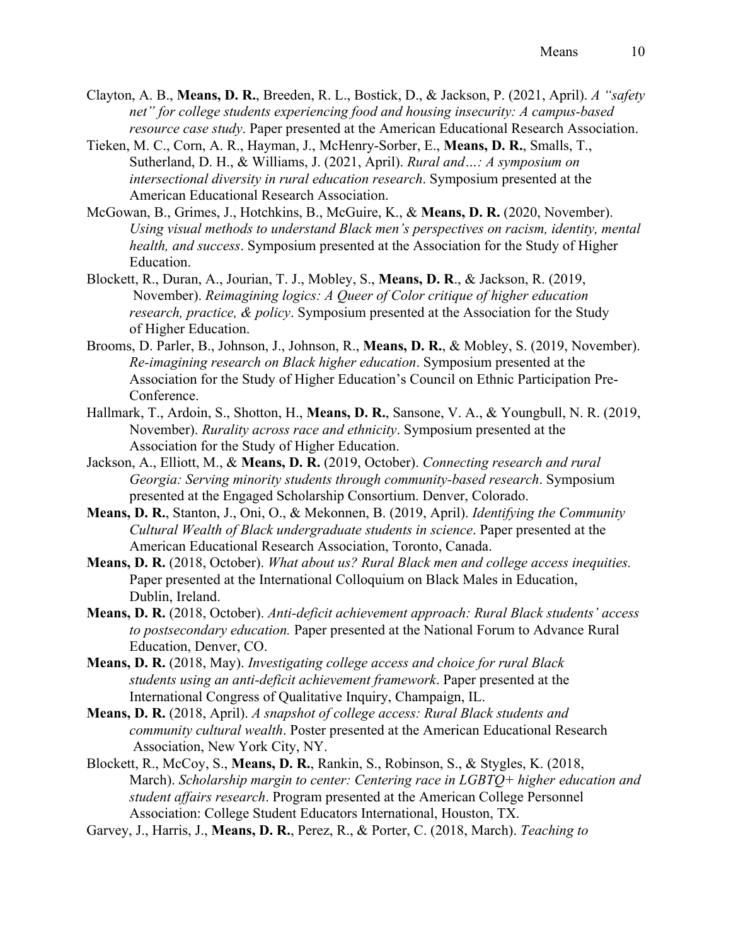- Clayton, A. B., **Means, D. R.**, Breeden, R. L., Bostick, D., & Jackson, P. (2021, April). *A "safety net" for college students experiencing food and housing insecurity: A campus-based resource case study*. Paper presented at the American Educational Research Association.
- Tieken, M. C., Corn, A. R., Hayman, J., McHenry-Sorber, E., **Means, D. R.**, Smalls, T., Sutherland, D. H., & Williams, J. (2021, April). *Rural and…: A symposium on intersectional diversity in rural education research*. Symposium presented at the American Educational Research Association.
- McGowan, B., Grimes, J., Hotchkins, B., McGuire, K., & **Means, D. R.** (2020, November). *Using visual methods to understand Black men's perspectives on racism, identity, mental health, and success*. Symposium presented at the Association for the Study of Higher Education.
- Blockett, R., Duran, A., Jourian, T. J., Mobley, S., **Means, D. R**., & Jackson, R. (2019, November). *Reimagining logics: A Queer of Color critique of higher education research, practice, & policy*. Symposium presented at the Association for the Study of Higher Education.
- Brooms, D. Parler, B., Johnson, J., Johnson, R., **Means, D. R.**, & Mobley, S. (2019, November). *Re-imagining research on Black higher education*. Symposium presented at the Association for the Study of Higher Education's Council on Ethnic Participation Pre-Conference.
- Hallmark, T., Ardoin, S., Shotton, H., **Means, D. R.**, Sansone, V. A., & Youngbull, N. R. (2019, November). *Rurality across race and ethnicity*. Symposium presented at the Association for the Study of Higher Education.
- Jackson, A., Elliott, M., & **Means, D. R.** (2019, October). *Connecting research and rural Georgia: Serving minority students through community-based research*. Symposium presented at the Engaged Scholarship Consortium. Denver, Colorado.
- **Means, D. R.**, Stanton, J., Oni, O., & Mekonnen, B. (2019, April). *Identifying the Community Cultural Wealth of Black undergraduate students in science*. Paper presented at the American Educational Research Association, Toronto, Canada.
- **Means, D. R.** (2018, October). *What about us? Rural Black men and college access inequities.*  Paper presented at the International Colloquium on Black Males in Education, Dublin, Ireland.
- **Means, D. R.** (2018, October). *Anti-deficit achievement approach: Rural Black students' access to postsecondary education.* Paper presented at the National Forum to Advance Rural Education, Denver, CO.
- **Means, D. R.** (2018, May). *Investigating college access and choice for rural Black students using an anti-deficit achievement framework*. Paper presented at the International Congress of Qualitative Inquiry, Champaign, IL.
- **Means, D. R.** (2018, April). *A snapshot of college access: Rural Black students and community cultural wealth*. Poster presented at the American Educational Research Association, New York City, NY.
- Blockett, R., McCoy, S., **Means, D. R.**, Rankin, S., Robinson, S., & Stygles, K. (2018, March). *Scholarship margin to center: Centering race in LGBTQ+ higher education and student affairs research*. Program presented at the American College Personnel Association: College Student Educators International, Houston, TX.
- Garvey, J., Harris, J., **Means, D. R.**, Perez, R., & Porter, C. (2018, March). *Teaching to*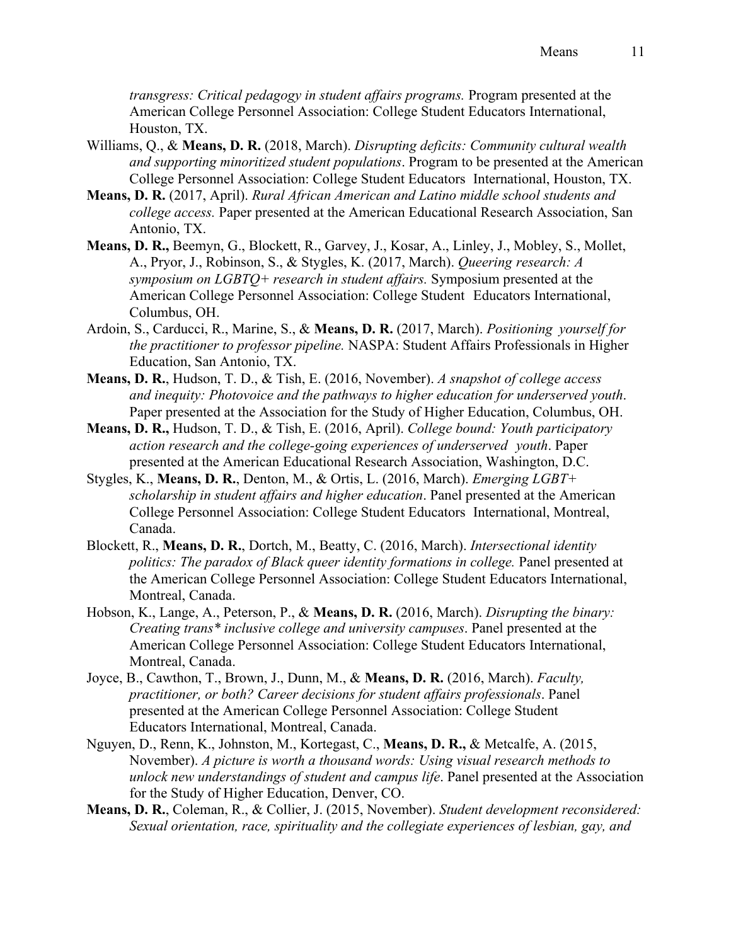*transgress: Critical pedagogy in student affairs programs.* Program presented at the American College Personnel Association: College Student Educators International, Houston, TX.

- Williams, Q., & **Means, D. R.** (2018, March). *Disrupting deficits: Community cultural wealth and supporting minoritized student populations*. Program to be presented at the American College Personnel Association: College Student Educators International, Houston, TX.
- **Means, D. R.** (2017, April). *Rural African American and Latino middle school students and college access.* Paper presented at the American Educational Research Association, San Antonio, TX.
- **Means, D. R.,** Beemyn, G., Blockett, R., Garvey, J., Kosar, A., Linley, J., Mobley, S., Mollet, A., Pryor, J., Robinson, S., & Stygles, K. (2017, March). *Queering research: A symposium on LGBTQ+ research in student affairs.* Symposium presented at the American College Personnel Association: College Student Educators International, Columbus, OH.
- Ardoin, S., Carducci, R., Marine, S., & **Means, D. R.** (2017, March). *Positioning yourself for the practitioner to professor pipeline.* NASPA: Student Affairs Professionals in Higher Education, San Antonio, TX.
- **Means, D. R.**, Hudson, T. D., & Tish, E. (2016, November). *A snapshot of college access and inequity: Photovoice and the pathways to higher education for underserved youth*. Paper presented at the Association for the Study of Higher Education, Columbus, OH.
- **Means, D. R.,** Hudson, T. D., & Tish, E. (2016, April). *College bound: Youth participatory action research and the college-going experiences of underserved youth*. Paper presented at the American Educational Research Association, Washington, D.C.
- Stygles, K., **Means, D. R.**, Denton, M., & Ortis, L. (2016, March). *Emerging LGBT+ scholarship in student affairs and higher education*. Panel presented at the American College Personnel Association: College Student Educators International, Montreal, Canada.
- Blockett, R., **Means, D. R.**, Dortch, M., Beatty, C. (2016, March). *Intersectional identity politics: The paradox of Black queer identity formations in college.* Panel presented at the American College Personnel Association: College Student Educators International, Montreal, Canada.
- Hobson, K., Lange, A., Peterson, P., & **Means, D. R.** (2016, March). *Disrupting the binary: Creating trans\* inclusive college and university campuses*. Panel presented at the American College Personnel Association: College Student Educators International, Montreal, Canada.
- Joyce, B., Cawthon, T., Brown, J., Dunn, M., & **Means, D. R.** (2016, March). *Faculty, practitioner, or both? Career decisions for student affairs professionals*. Panel presented at the American College Personnel Association: College Student Educators International, Montreal, Canada.
- Nguyen, D., Renn, K., Johnston, M., Kortegast, C., **Means, D. R.,** & Metcalfe, A. (2015, November). *A picture is worth a thousand words: Using visual research methods to unlock new understandings of student and campus life*. Panel presented at the Association for the Study of Higher Education, Denver, CO.
- **Means, D. R.**, Coleman, R., & Collier, J. (2015, November). *Student development reconsidered: Sexual orientation, race, spirituality and the collegiate experiences of lesbian, gay, and*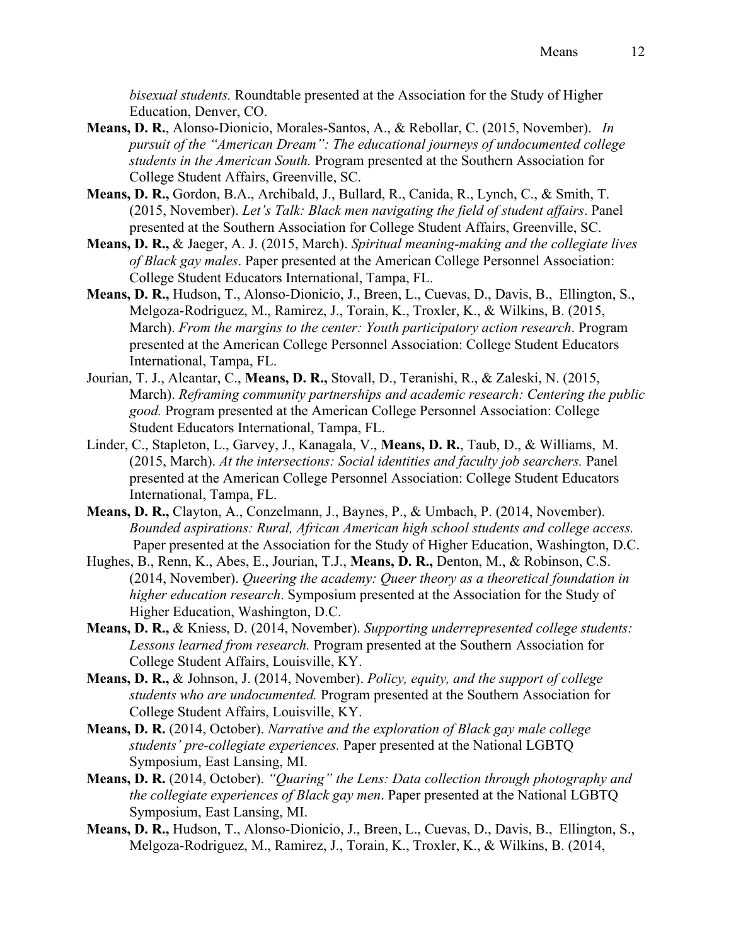*bisexual students.* Roundtable presented at the Association for the Study of Higher Education, Denver, CO.

- **Means, D. R.**, Alonso-Dionicio, Morales-Santos, A., & Rebollar, C. (2015, November). *In pursuit of the "American Dream": The educational journeys of undocumented college students in the American South.* Program presented at the Southern Association for College Student Affairs, Greenville, SC.
- **Means, D. R.,** Gordon, B.A., Archibald, J., Bullard, R., Canida, R., Lynch, C., & Smith, T. (2015, November). *Let's Talk: Black men navigating the field of student affairs*. Panel presented at the Southern Association for College Student Affairs, Greenville, SC.
- **Means, D. R.,** & Jaeger, A. J. (2015, March). *Spiritual meaning-making and the collegiate lives of Black gay males*. Paper presented at the American College Personnel Association: College Student Educators International, Tampa, FL.
- **Means, D. R.,** Hudson, T., Alonso-Dionicio, J., Breen, L., Cuevas, D., Davis, B., Ellington, S., Melgoza-Rodriguez, M., Ramirez, J., Torain, K., Troxler, K., & Wilkins, B. (2015, March). *From the margins to the center: Youth participatory action research*. Program presented at the American College Personnel Association: College Student Educators International, Tampa, FL.
- Jourian, T. J., Alcantar, C., **Means, D. R.,** Stovall, D., Teranishi, R., & Zaleski, N. (2015, March). *Reframing community partnerships and academic research: Centering the public good.* Program presented at the American College Personnel Association: College Student Educators International, Tampa, FL.
- Linder, C., Stapleton, L., Garvey, J., Kanagala, V., **Means, D. R.**, Taub, D., & Williams, M. (2015, March). *At the intersections: Social identities and faculty job searchers.* Panel presented at the American College Personnel Association: College Student Educators International, Tampa, FL.
- **Means, D. R.,** Clayton, A., Conzelmann, J., Baynes, P., & Umbach, P. (2014, November). *Bounded aspirations: Rural, African American high school students and college access.* Paper presented at the Association for the Study of Higher Education, Washington, D.C.
- Hughes, B., Renn, K., Abes, E., Jourian, T.J., **Means, D. R.,** Denton, M., & Robinson, C.S. (2014, November). *Queering the academy: Queer theory as a theoretical foundation in higher education research*. Symposium presented at the Association for the Study of Higher Education, Washington, D.C.
- **Means, D. R.,** & Kniess, D. (2014, November). *Supporting underrepresented college students: Lessons learned from research.* Program presented at the Southern Association for College Student Affairs, Louisville, KY.
- **Means, D. R.,** & Johnson, J. (2014, November). *Policy, equity, and the support of college students who are undocumented.* Program presented at the Southern Association for College Student Affairs, Louisville, KY.
- **Means, D. R.** (2014, October). *Narrative and the exploration of Black gay male college students' pre-collegiate experiences.* Paper presented at the National LGBTQ Symposium, East Lansing, MI.
- **Means, D. R.** (2014, October). *"Quaring" the Lens: Data collection through photography and the collegiate experiences of Black gay men*. Paper presented at the National LGBTQ Symposium, East Lansing, MI.
- **Means, D. R.,** Hudson, T., Alonso-Dionicio, J., Breen, L., Cuevas, D., Davis, B., Ellington, S., Melgoza-Rodriguez, M., Ramirez, J., Torain, K., Troxler, K., & Wilkins, B. (2014,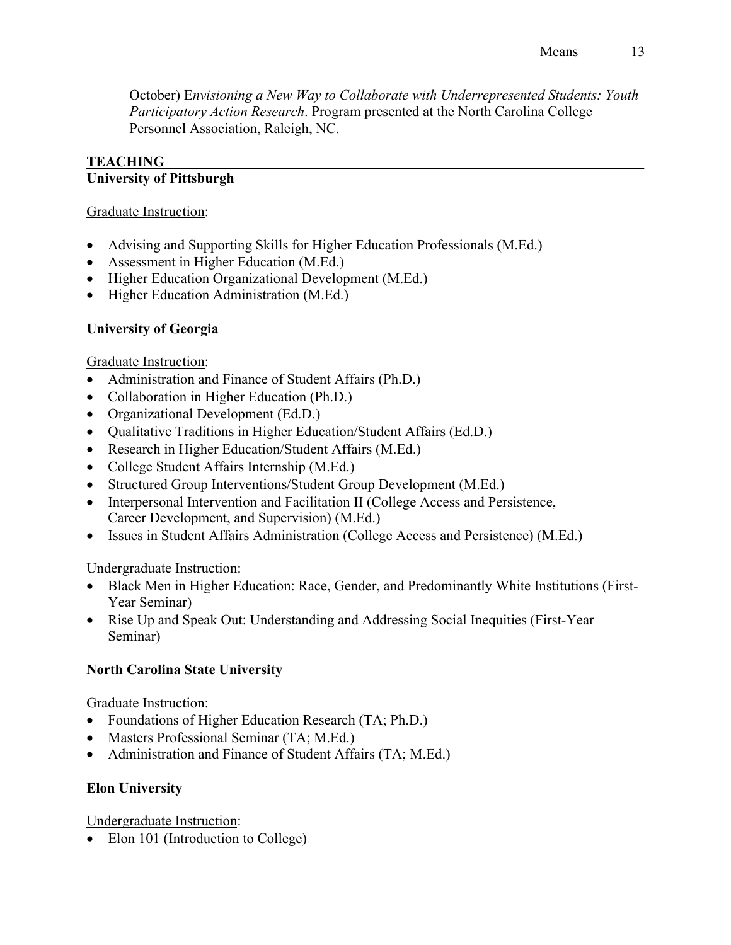October) E*nvisioning a New Way to Collaborate with Underrepresented Students: Youth Participatory Action Research*. Program presented at the North Carolina College Personnel Association, Raleigh, NC.

### **TEACHING\_\_\_\_\_\_\_\_\_\_\_\_\_\_\_\_\_\_\_\_\_\_\_\_\_\_\_\_\_\_\_\_\_\_\_\_\_\_\_\_\_\_\_\_\_\_\_\_\_\_\_\_\_\_\_\_\_\_\_\_\_\_\_\_\_\_\_ University of Pittsburgh**

### Graduate Instruction:

- Advising and Supporting Skills for Higher Education Professionals (M.Ed.)
- Assessment in Higher Education (M.Ed.)
- Higher Education Organizational Development (M.Ed.)
- Higher Education Administration (M.Ed.)

# **University of Georgia**

## Graduate Instruction:

- Administration and Finance of Student Affairs (Ph.D.)
- Collaboration in Higher Education (Ph.D.)
- Organizational Development (Ed.D.)
- Qualitative Traditions in Higher Education/Student Affairs (Ed.D.)
- Research in Higher Education/Student Affairs (M.Ed.)
- College Student Affairs Internship (M.Ed.)
- Structured Group Interventions/Student Group Development (M.Ed.)
- Interpersonal Intervention and Facilitation II (College Access and Persistence, Career Development, and Supervision) (M.Ed.)
- Issues in Student Affairs Administration (College Access and Persistence) (M.Ed.)

## Undergraduate Instruction:

- Black Men in Higher Education: Race, Gender, and Predominantly White Institutions (First-Year Seminar)
- Rise Up and Speak Out: Understanding and Addressing Social Inequities (First-Year Seminar)

## **North Carolina State University**

Graduate Instruction:

- Foundations of Higher Education Research (TA; Ph.D.)
- Masters Professional Seminar (TA; M.Ed.)
- Administration and Finance of Student Affairs (TA; M.Ed.)

## **Elon University**

Undergraduate Instruction:

• Elon 101 (Introduction to College)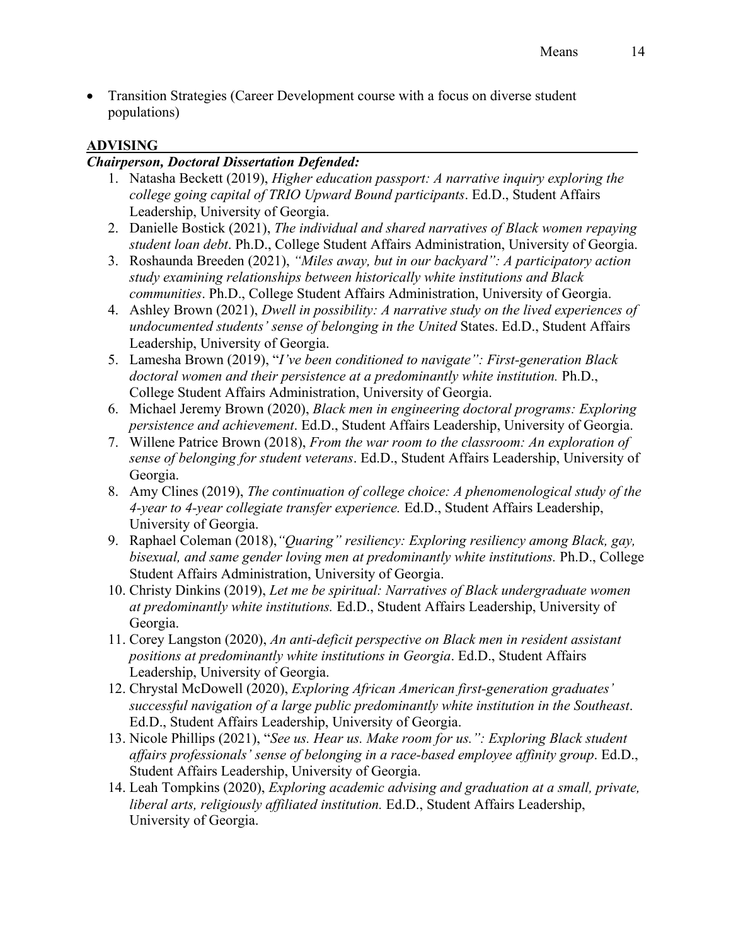• Transition Strategies (Career Development course with a focus on diverse student populations)

### **ADVISING\_\_\_\_\_\_\_\_\_\_\_\_\_\_\_\_\_\_\_\_\_\_\_\_\_\_\_\_\_\_\_\_\_\_\_\_\_\_\_\_\_\_\_\_\_\_\_\_\_\_\_\_\_\_\_\_\_\_\_\_\_\_\_\_\_\_\_**

### *Chairperson, Doctoral Dissertation Defended:*

- 1. Natasha Beckett (2019), *Higher education passport: A narrative inquiry exploring the college going capital of TRIO Upward Bound participants*. Ed.D., Student Affairs Leadership, University of Georgia.
- 2. Danielle Bostick (2021), *The individual and shared narratives of Black women repaying student loan debt*. Ph.D., College Student Affairs Administration, University of Georgia.
- 3. Roshaunda Breeden (2021), *"Miles away, but in our backyard": A participatory action study examining relationships between historically white institutions and Black communities*. Ph.D., College Student Affairs Administration, University of Georgia.
- 4. Ashley Brown (2021), *Dwell in possibility: A narrative study on the lived experiences of undocumented students' sense of belonging in the United* States. Ed.D., Student Affairs Leadership, University of Georgia.
- 5. Lamesha Brown (2019), "*I've been conditioned to navigate": First-generation Black doctoral women and their persistence at a predominantly white institution.* Ph.D., College Student Affairs Administration, University of Georgia.
- 6. Michael Jeremy Brown (2020), *Black men in engineering doctoral programs: Exploring persistence and achievement*. Ed.D., Student Affairs Leadership, University of Georgia.
- 7. Willene Patrice Brown (2018), *From the war room to the classroom: An exploration of sense of belonging for student veterans*. Ed.D., Student Affairs Leadership, University of Georgia.
- 8. Amy Clines (2019), *The continuation of college choice: A phenomenological study of the 4-year to 4-year collegiate transfer experience.* Ed.D., Student Affairs Leadership, University of Georgia.
- 9. Raphael Coleman (2018),*"Quaring" resiliency: Exploring resiliency among Black, gay, bisexual, and same gender loving men at predominantly white institutions.* Ph.D., College Student Affairs Administration, University of Georgia.
- 10. Christy Dinkins (2019), *Let me be spiritual: Narratives of Black undergraduate women at predominantly white institutions.* Ed.D., Student Affairs Leadership, University of Georgia.
- 11. Corey Langston (2020), *An anti-deficit perspective on Black men in resident assistant positions at predominantly white institutions in Georgia*. Ed.D., Student Affairs Leadership, University of Georgia.
- 12. Chrystal McDowell (2020), *Exploring African American first-generation graduates' successful navigation of a large public predominantly white institution in the Southeast*. Ed.D., Student Affairs Leadership, University of Georgia.
- 13. Nicole Phillips (2021), "*See us. Hear us. Make room for us.": Exploring Black student affairs professionals' sense of belonging in a race-based employee affinity group*. Ed.D., Student Affairs Leadership, University of Georgia.
- 14. Leah Tompkins (2020), *Exploring academic advising and graduation at a small, private, liberal arts, religiously affiliated institution.* Ed.D., Student Affairs Leadership, University of Georgia.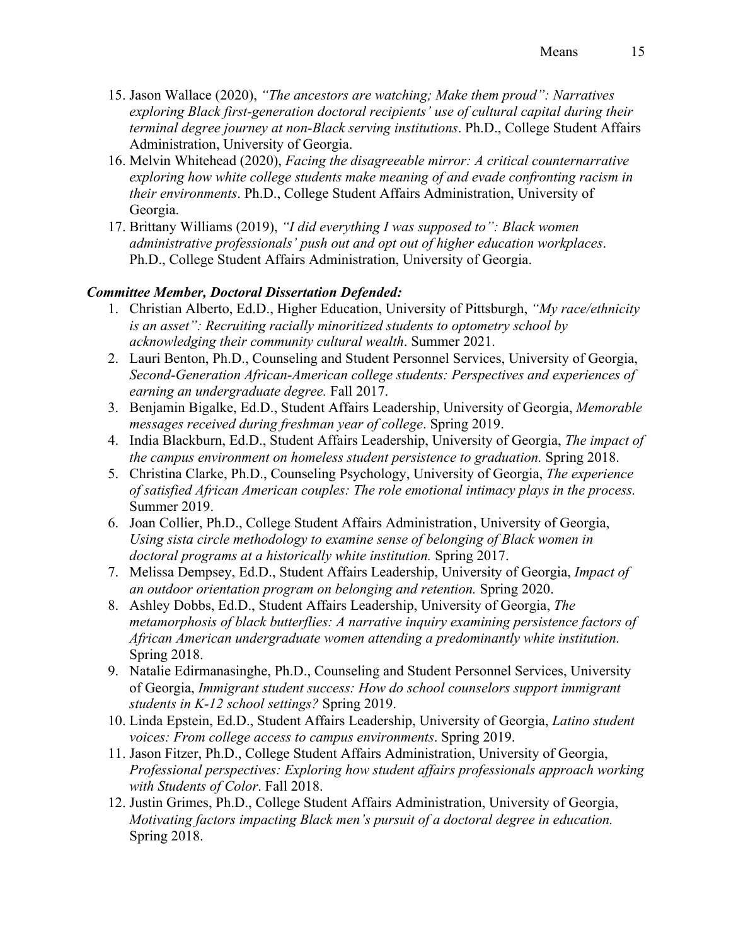- 15. Jason Wallace (2020), *"The ancestors are watching; Make them proud": Narratives exploring Black first-generation doctoral recipients' use of cultural capital during their terminal degree journey at non-Black serving institutions*. Ph.D., College Student Affairs Administration, University of Georgia.
- 16. Melvin Whitehead (2020), *Facing the disagreeable mirror: A critical counternarrative exploring how white college students make meaning of and evade confronting racism in their environments*. Ph.D., College Student Affairs Administration, University of Georgia.
- 17. Brittany Williams (2019), *"I did everything I was supposed to": Black women administrative professionals' push out and opt out of higher education workplaces*. Ph.D., College Student Affairs Administration, University of Georgia.

# *Committee Member, Doctoral Dissertation Defended:*

- 1. Christian Alberto, Ed.D., Higher Education, University of Pittsburgh, *"My race/ethnicity is an asset": Recruiting racially minoritized students to optometry school by acknowledging their community cultural wealth*. Summer 2021.
- 2. Lauri Benton, Ph.D., Counseling and Student Personnel Services, University of Georgia, *Second-Generation African-American college students: Perspectives and experiences of earning an undergraduate degree.* Fall 2017.
- 3. Benjamin Bigalke, Ed.D., Student Affairs Leadership, University of Georgia, *Memorable messages received during freshman year of college*. Spring 2019.
- 4. India Blackburn, Ed.D., Student Affairs Leadership, University of Georgia, *The impact of the campus environment on homeless student persistence to graduation.* Spring 2018.
- 5. Christina Clarke, Ph.D., Counseling Psychology, University of Georgia, *The experience of satisfied African American couples: The role emotional intimacy plays in the process.*  Summer 2019.
- 6. Joan Collier, Ph.D., College Student Affairs Administration, University of Georgia, *Using sista circle methodology to examine sense of belonging of Black women in doctoral programs at a historically white institution.* Spring 2017.
- 7. Melissa Dempsey, Ed.D., Student Affairs Leadership, University of Georgia, *Impact of an outdoor orientation program on belonging and retention.* Spring 2020.
- 8. Ashley Dobbs, Ed.D., Student Affairs Leadership, University of Georgia, *The metamorphosis of black butterflies: A narrative inquiry examining persistence factors of African American undergraduate women attending a predominantly white institution.*  Spring 2018.
- 9. Natalie Edirmanasinghe, Ph.D., Counseling and Student Personnel Services, University of Georgia, *Immigrant student success: How do school counselors support immigrant students in K-12 school settings?* Spring 2019.
- 10. Linda Epstein, Ed.D., Student Affairs Leadership, University of Georgia, *Latino student voices: From college access to campus environments*. Spring 2019.
- 11. Jason Fitzer, Ph.D., College Student Affairs Administration, University of Georgia, *Professional perspectives: Exploring how student affairs professionals approach working with Students of Color*. Fall 2018.
- 12. Justin Grimes, Ph.D., College Student Affairs Administration, University of Georgia, *Motivating factors impacting Black men's pursuit of a doctoral degree in education.*  Spring 2018.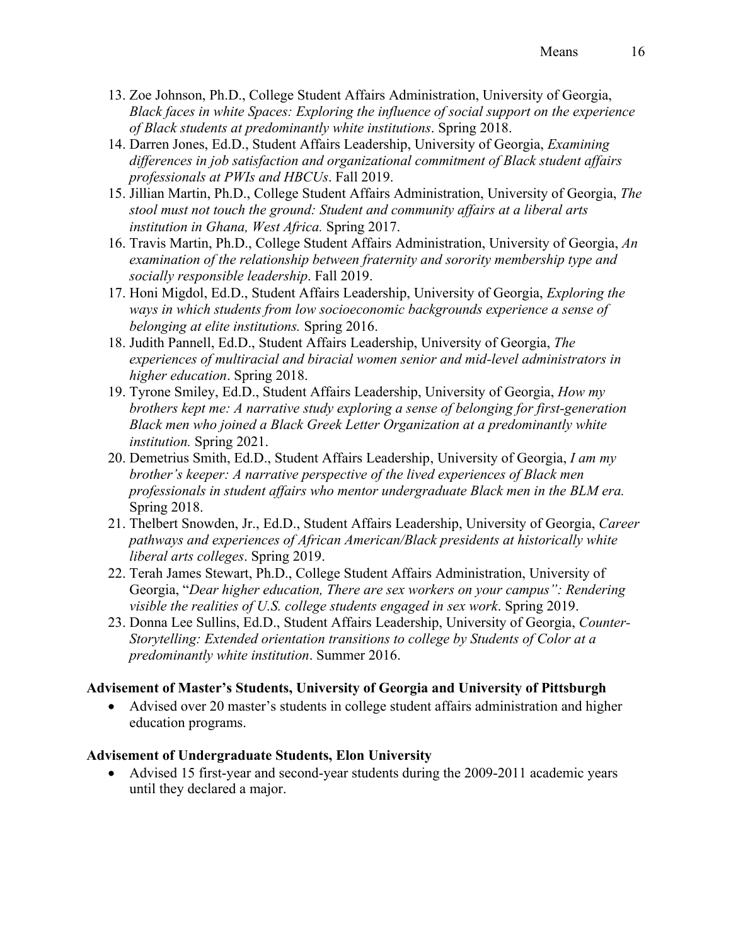- 13. Zoe Johnson, Ph.D., College Student Affairs Administration, University of Georgia, *Black faces in white Spaces: Exploring the influence of social support on the experience of Black students at predominantly white institutions*. Spring 2018.
- 14. Darren Jones, Ed.D., Student Affairs Leadership, University of Georgia, *Examining differences in job satisfaction and organizational commitment of Black student affairs professionals at PWIs and HBCUs*. Fall 2019.
- 15. Jillian Martin, Ph.D., College Student Affairs Administration, University of Georgia, *The stool must not touch the ground: Student and community affairs at a liberal arts institution in Ghana, West Africa.* Spring 2017.
- 16. Travis Martin, Ph.D., College Student Affairs Administration, University of Georgia, *An examination of the relationship between fraternity and sorority membership type and socially responsible leadership*. Fall 2019.
- 17. Honi Migdol, Ed.D., Student Affairs Leadership, University of Georgia, *Exploring the ways in which students from low socioeconomic backgrounds experience a sense of belonging at elite institutions.* Spring 2016.
- 18. Judith Pannell, Ed.D., Student Affairs Leadership, University of Georgia, *The experiences of multiracial and biracial women senior and mid-level administrators in higher education*. Spring 2018.
- 19. Tyrone Smiley, Ed.D., Student Affairs Leadership, University of Georgia, *How my brothers kept me: A narrative study exploring a sense of belonging for first-generation Black men who joined a Black Greek Letter Organization at a predominantly white institution.* Spring 2021.
- 20. Demetrius Smith, Ed.D., Student Affairs Leadership, University of Georgia, *I am my brother's keeper: A narrative perspective of the lived experiences of Black men professionals in student affairs who mentor undergraduate Black men in the BLM era.*  Spring 2018.
- 21. Thelbert Snowden, Jr., Ed.D., Student Affairs Leadership, University of Georgia, *Career pathways and experiences of African American/Black presidents at historically white liberal arts colleges*. Spring 2019.
- 22. Terah James Stewart, Ph.D., College Student Affairs Administration, University of Georgia, "*Dear higher education, There are sex workers on your campus": Rendering visible the realities of U.S. college students engaged in sex work*. Spring 2019.
- 23. Donna Lee Sullins, Ed.D., Student Affairs Leadership, University of Georgia, *Counter-Storytelling: Extended orientation transitions to college by Students of Color at a predominantly white institution*. Summer 2016.

## **Advisement of Master's Students, University of Georgia and University of Pittsburgh**

• Advised over 20 master's students in college student affairs administration and higher education programs.

## **Advisement of Undergraduate Students, Elon University**

• Advised 15 first-year and second-year students during the 2009-2011 academic years until they declared a major.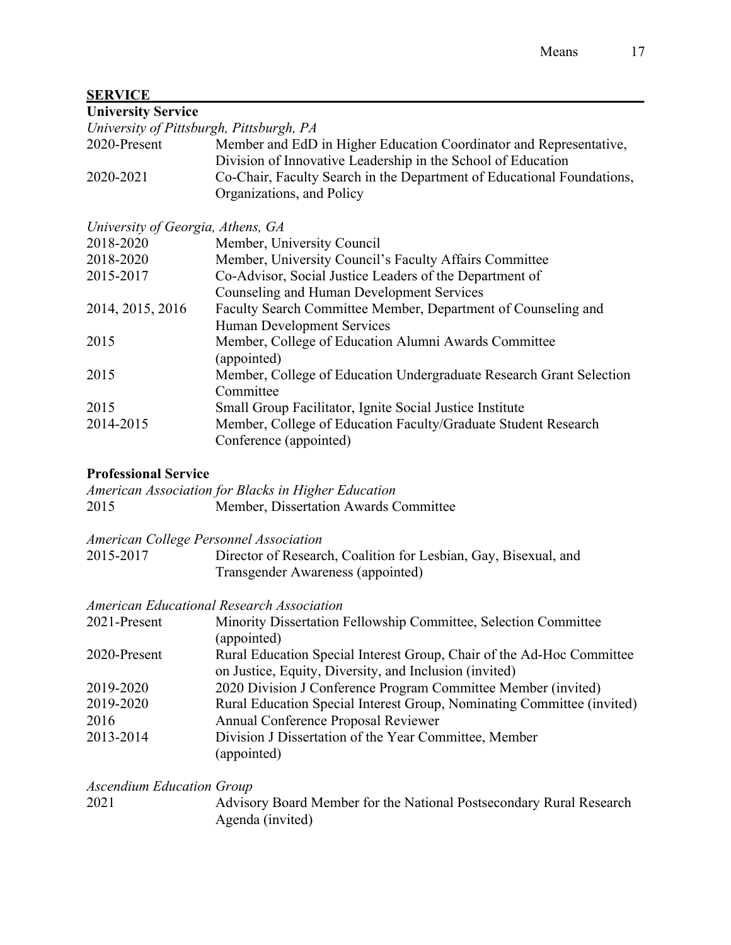# **SERVICE\_\_\_\_\_\_\_\_\_\_\_\_\_\_\_\_\_\_\_\_\_\_\_\_\_\_\_\_\_\_\_\_\_\_\_\_\_\_\_\_\_\_\_\_\_\_\_\_\_\_\_\_\_\_\_\_\_\_\_\_\_\_\_\_\_\_\_\_\_**

| <b>University Service</b> |  |
|---------------------------|--|
|---------------------------|--|

|                                   | University of Pittsburgh, Pittsburgh, PA                                                            |
|-----------------------------------|-----------------------------------------------------------------------------------------------------|
| 2020-Present                      | Member and EdD in Higher Education Coordinator and Representative,                                  |
|                                   | Division of Innovative Leadership in the School of Education                                        |
| 2020-2021                         | Co-Chair, Faculty Search in the Department of Educational Foundations,<br>Organizations, and Policy |
| University of Georgia, Athens, GA |                                                                                                     |
| 2018-2020                         | Member, University Council                                                                          |
| 2018-2020                         | Member, University Council's Faculty Affairs Committee                                              |
| 2015-2017                         | Co-Advisor, Social Justice Leaders of the Department of                                             |
|                                   | Counseling and Human Development Services                                                           |
| 2014, 2015, 2016                  | Faculty Search Committee Member, Department of Counseling and                                       |
|                                   | Human Development Services                                                                          |
| 2015                              | Member, College of Education Alumni Awards Committee                                                |
|                                   | (appointed)                                                                                         |
| 2015                              | Member, College of Education Undergraduate Research Grant Selection                                 |
|                                   | Committee                                                                                           |
| 2015                              | Small Group Facilitator, Ignite Social Justice Institute                                            |
| 2014-2015                         | Member, College of Education Faculty/Graduate Student Research                                      |
|                                   | Conference (appointed)                                                                              |
|                                   |                                                                                                     |

# **Professional Service**

|      | American Association for Blacks in Higher Education |
|------|-----------------------------------------------------|
| 2015 | Member, Dissertation Awards Committee               |

|  |  |  | American College Personnel Association |
|--|--|--|----------------------------------------|
|--|--|--|----------------------------------------|

| 2015-2017 | Director of Research, Coalition for Lesbian, Gay, Bisexual, and |
|-----------|-----------------------------------------------------------------|
|           | Transgender Awareness (appointed)                               |

# *American Educational Research Association*

| 2021-Present | Minority Dissertation Fellowship Committee, Selection Committee        |
|--------------|------------------------------------------------------------------------|
|              | (appointed)                                                            |
| 2020-Present | Rural Education Special Interest Group, Chair of the Ad-Hoc Committee  |
|              | on Justice, Equity, Diversity, and Inclusion (invited)                 |
| 2019-2020    | 2020 Division J Conference Program Committee Member (invited)          |
| 2019-2020    | Rural Education Special Interest Group, Nominating Committee (invited) |
| 2016         | Annual Conference Proposal Reviewer                                    |
| 2013-2014    | Division J Dissertation of the Year Committee, Member                  |
|              | (appointed)                                                            |
|              |                                                                        |

*Ascendium Education Group* Advisory Board Member for the National Postsecondary Rural Research Agenda (invited)